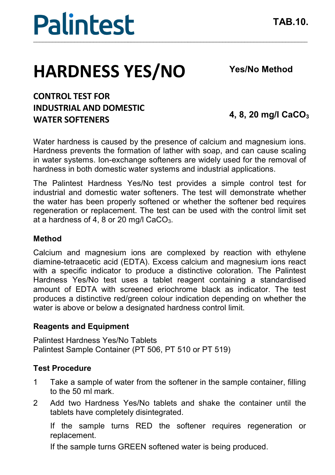## **Palintest** \_\_\_\_\_\_\_\_\_\_\_\_\_\_\_\_\_\_\_\_\_\_\_\_\_\_\_\_\_\_\_\_\_\_\_\_\_\_\_\_\_\_\_\_\_\_\_\_\_\_\_\_\_\_\_\_\_\_\_\_\_\_\_\_\_\_\_\_\_\_\_\_\_\_\_\_\_\_\_\_\_\_\_\_\_\_\_

# **HARDNESS YES/NO**

**Yes/No Method**

### **CONTROL TEST FOR INDUSTRIAL AND DOMESTIC WATER SOFTENERS**

**4, 8, 20 mg/l CaCO3**

Water hardness is caused by the presence of calcium and magnesium ions. Hardness prevents the formation of lather with soap, and can cause scaling in water systems. Ion-exchange softeners are widely used for the removal of hardness in both domestic water systems and industrial applications.

The Palintest Hardness Yes/No test provides a simple control test for industrial and domestic water softeners. The test will demonstrate whether the water has been properly softened or whether the softener bed requires regeneration or replacement. The test can be used with the control limit set at a hardness of 4, 8 or 20 mg/l CaCO<sub>3</sub>.

#### **Method**

Calcium and magnesium ions are complexed by reaction with ethylene diamine-tetraacetic acid (EDTA). Excess calcium and magnesium ions react with a specific indicator to produce a distinctive coloration. The Palintest Hardness Yes/No test uses a tablet reagent containing a standardised amount of EDTA with screened eriochrome black as indicator. The test produces a distinctive red/green colour indication depending on whether the water is above or below a designated hardness control limit.

#### **Reagents and Equipment**

Palintest Hardness Yes/No Tablets Palintest Sample Container (PT 506, PT 510 or PT 519)

#### **Test Procedure**

- 1 Take a sample of water from the softener in the sample container, filling to the 50 ml mark.
- 2 Add two Hardness Yes/No tablets and shake the container until the tablets have completely disintegrated.

If the sample turns RED the softener requires regeneration or replacement.

If the sample turns GREEN softened water is being produced.